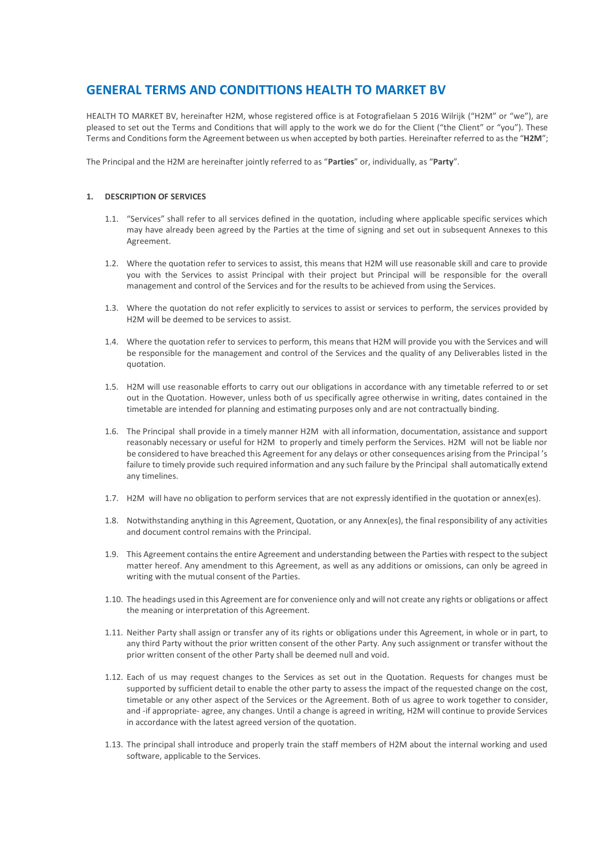# **GENERAL TERMS AND CONDITTIONS HEALTH TO MARKET BV**

HEALTH TO MARKET BV, hereinafter H2M, whose registered office is at Fotografielaan 5 2016 Wilrijk ("H2M" or "we"), are pleased to set out the Terms and Conditions that will apply to the work we do for the Client ("the Client" or "you"). These Terms and Conditions form the Agreement between us when accepted by both parties. Hereinafter referred to as the "**H2M**";

The Principal and the H2M are hereinafter jointly referred to as "**Parties**" or, individually, as "**Party**".

#### **1. DESCRIPTION OF SERVICES**

- 1.1. "Services" shall refer to all services defined in the quotation, including where applicable specific services which may have already been agreed by the Parties at the time of signing and set out in subsequent Annexes to this Agreement.
- 1.2. Where the quotation refer to services to assist, this means that H2M will use reasonable skill and care to provide you with the Services to assist Principal with their project but Principal will be responsible for the overall management and control of the Services and for the results to be achieved from using the Services.
- 1.3. Where the quotation do not refer explicitly to services to assist or services to perform, the services provided by H2M will be deemed to be services to assist.
- 1.4. Where the quotation refer to services to perform, this means that H2M will provide you with the Services and will be responsible for the management and control of the Services and the quality of any Deliverables listed in the quotation.
- 1.5. H2M will use reasonable efforts to carry out our obligations in accordance with any timetable referred to or set out in the Quotation. However, unless both of us specifically agree otherwise in writing, dates contained in the timetable are intended for planning and estimating purposes only and are not contractually binding.
- 1.6. The Principal shall provide in a timely manner H2M with all information, documentation, assistance and support reasonably necessary or useful for H2M to properly and timely perform the Services. H2M will not be liable nor be considered to have breached this Agreement for any delays or other consequences arising from the Principal 's failure to timely provide such required information and any such failure by the Principal shall automatically extend any timelines.
- 1.7. H2M will have no obligation to perform services that are not expressly identified in the quotation or annex(es).
- 1.8. Notwithstanding anything in this Agreement, Quotation, or any Annex(es), the final responsibility of any activities and document control remains with the Principal.
- 1.9. This Agreement contains the entire Agreement and understanding between the Parties with respect to the subject matter hereof. Any amendment to this Agreement, as well as any additions or omissions, can only be agreed in writing with the mutual consent of the Parties.
- 1.10. The headings used in this Agreement are for convenience only and will not create any rights or obligations or affect the meaning or interpretation of this Agreement.
- 1.11. Neither Party shall assign or transfer any of its rights or obligations under this Agreement, in whole or in part, to any third Party without the prior written consent of the other Party. Any such assignment or transfer without the prior written consent of the other Party shall be deemed null and void.
- 1.12. Each of us may request changes to the Services as set out in the Quotation. Requests for changes must be supported by sufficient detail to enable the other party to assess the impact of the requested change on the cost, timetable or any other aspect of the Services or the Agreement. Both of us agree to work together to consider, and -if appropriate- agree, any changes. Until a change is agreed in writing, H2M will continue to provide Services in accordance with the latest agreed version of the quotation.
- 1.13. The principal shall introduce and properly train the staff members of H2M about the internal working and used software, applicable to the Services.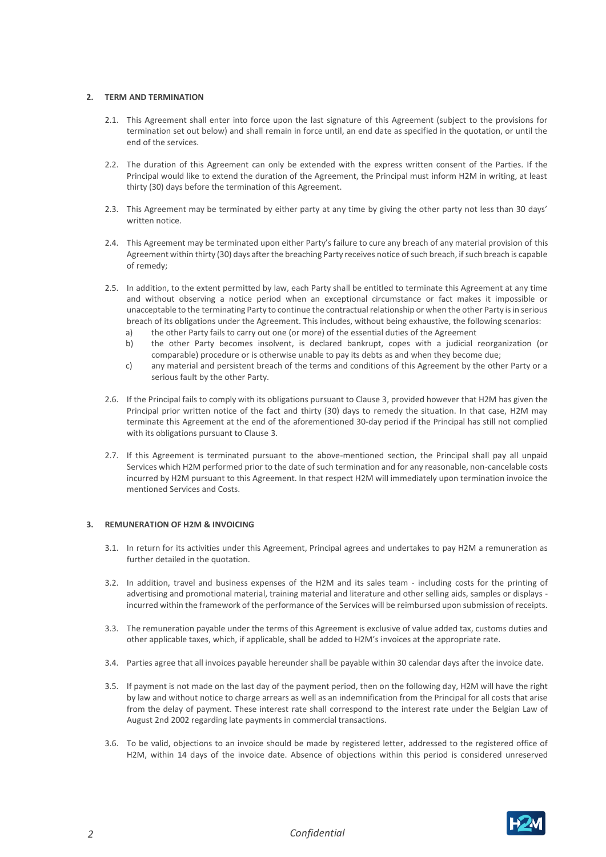# **2. TERM AND TERMINATION**

- 2.1. This Agreement shall enter into force upon the last signature of this Agreement (subject to the provisions for termination set out below) and shall remain in force until, an end date as specified in the quotation, or until the end of the services.
- 2.2. The duration of this Agreement can only be extended with the express written consent of the Parties. If the Principal would like to extend the duration of the Agreement, the Principal must inform H2M in writing, at least thirty (30) days before the termination of this Agreement.
- 2.3. This Agreement may be terminated by either party at any time by giving the other party not less than 30 days' written notice.
- 2.4. This Agreement may be terminated upon either Party's failure to cure any breach of any material provision of this Agreement within thirty (30) days after the breaching Party receives notice of such breach, if such breach is capable of remedy;
- 2.5. In addition, to the extent permitted by law, each Party shall be entitled to terminate this Agreement at any time and without observing a notice period when an exceptional circumstance or fact makes it impossible or unacceptable to the terminating Party to continue the contractual relationship or when the other Party is in serious breach of its obligations under the Agreement. This includes, without being exhaustive, the following scenarios:
	- a) the other Party fails to carry out one (or more) of the essential duties of the Agreement
	- b) the other Party becomes insolvent, is declared bankrupt, copes with a judicial reorganization (or comparable) procedure or is otherwise unable to pay its debts as and when they become due;
	- c) any material and persistent breach of the terms and conditions of this Agreement by the other Party or a serious fault by the other Party.
- 2.6. If the Principal fails to comply with its obligations pursuant to Clause 3, provided however that H2M has given the Principal prior written notice of the fact and thirty (30) days to remedy the situation. In that case, H2M may terminate this Agreement at the end of the aforementioned 30-day period if the Principal has still not complied with its obligations pursuant to Clause 3.
- 2.7. If this Agreement is terminated pursuant to the above-mentioned section, the Principal shall pay all unpaid Services which H2M performed prior to the date of such termination and for any reasonable, non-cancelable costs incurred by H2M pursuant to this Agreement. In that respect H2M will immediately upon termination invoice the mentioned Services and Costs.

#### **3. REMUNERATION OF H2M & INVOICING**

- 3.1. In return for its activities under this Agreement, Principal agrees and undertakes to pay H2M a remuneration as further detailed in the quotation.
- 3.2. In addition, travel and business expenses of the H2M and its sales team including costs for the printing of advertising and promotional material, training material and literature and other selling aids, samples or displays incurred within the framework of the performance of the Services will be reimbursed upon submission of receipts.
- 3.3. The remuneration payable under the terms of this Agreement is exclusive of value added tax, customs duties and other applicable taxes, which, if applicable, shall be added to H2M's invoices at the appropriate rate.
- 3.4. Parties agree that all invoices payable hereunder shall be payable within 30 calendar days after the invoice date.
- 3.5. If payment is not made on the last day of the payment period, then on the following day, H2M will have the right by law and without notice to charge arrears as well as an indemnification from the Principal for all costs that arise from the delay of payment. These interest rate shall correspond to the interest rate under the Belgian Law of August 2nd 2002 regarding late payments in commercial transactions.
- 3.6. To be valid, objections to an invoice should be made by registered letter, addressed to the registered office of H2M, within 14 days of the invoice date. Absence of objections within this period is considered unreserved

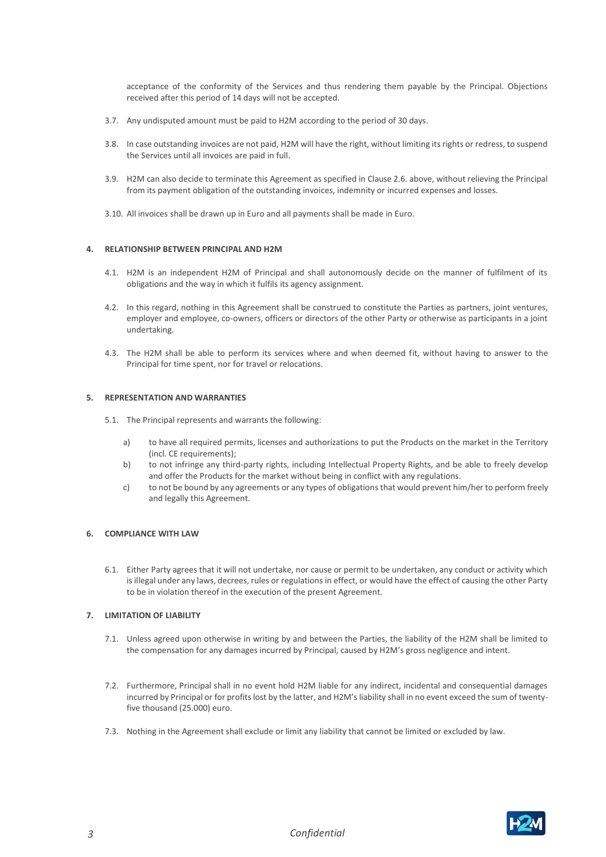acceptance of the conformity of the Services and thus rendering them payable by the Principal. Objections received after this period of 14 days will not be accepted.

- 3.7. Any undisputed amount must be paid to H2M according to the period of 30 days.
- 3.8. In case outstanding invoices are not paid, H2M will have the right, without limiting its rights or redress, to suspend the Services until all invoices are paid in full.
- 3.9. H2M can also decide to terminate this Agreement as specified in Clause 2.6. above, without relieving the Principal from its payment obligation of the outstanding invoices, indemnity or incurred expenses and losses.
- 3.10. All invoices shall be drawn up in Euro and all payments shall be made in Euro.

### **4. RELATIONSHIP BETWEEN PRINCIPAL AND H2M**

- 4.1. H2M is an independent H2M of Principal and shall autonomously decide on the manner of fulfilment of its obligations and the way in which it fulfils its agency assignment.
- 4.2. In this regard, nothing in this Agreement shall be construed to constitute the Parties as partners, joint ventures, employer and employee, co-owners, officers or directors of the other Party or otherwise as participants in a joint undertaking.
- 4.3. The H2M shall be able to perform its services where and when deemed fit, without having to answer to the Principal for time spent, nor for travel or relocations.

#### **5. REPRESENTATION AND WARRANTIES**

5.1. The Principal represents and warrants the following:

- a) to have all required permits, licenses and authorizations to put the Products on the market in the Territory (incl. CE requirements);
- b) to not infringe any third-party rights, including Intellectual Property Rights, and be able to freely develop and offer the Products for the market without being in conflict with any regulations.
- c) to not be bound by any agreements or any types of obligations that would prevent him/her to perform freely and legally this Agreement.

#### **6. COMPLIANCE WITH LAW**

6.1. Either Party agrees that it will not undertake, nor cause or permit to be undertaken, any conduct or activity which is illegal under any laws, decrees, rules or regulations in effect, or would have the effect of causing the other Party to be in violation thereof in the execution of the present Agreement.

#### **7. LIMITATION OF LIABILITY**

- 7.1. Unless agreed upon otherwise in writing by and between the Parties, the liability of the H2M shall be limited to the compensation for any damages incurred by Principal, caused by H2M's gross negligence and intent.
- 7.2. Furthermore, Principal shall in no event hold H2M liable for any indirect, incidental and consequential damages incurred by Principal or for profits lost by the latter, and H2M's liability shall in no event exceed the sum of twentyfive thousand (25.000) euro.
- 7.3. Nothing in the Agreement shall exclude or limit any liability that cannot be limited or excluded by law.

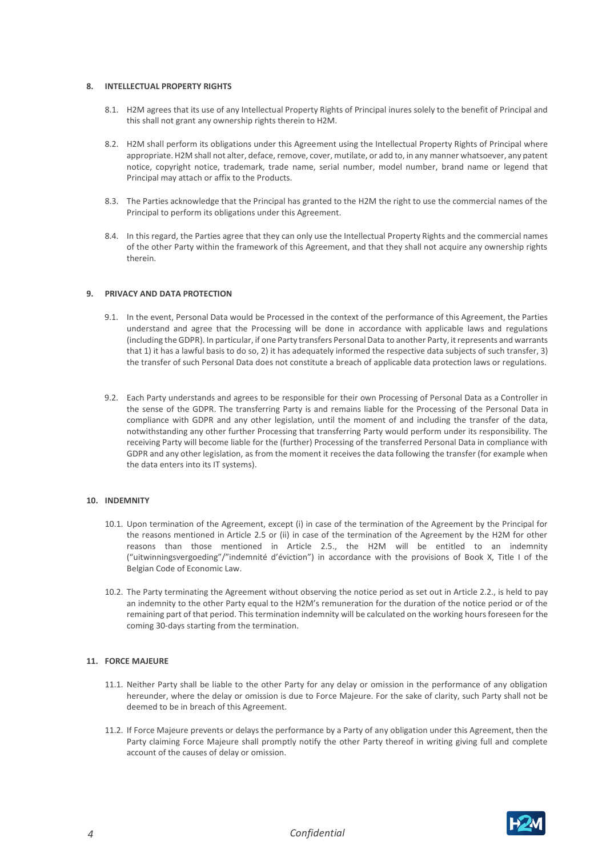# **8. INTELLECTUAL PROPERTY RIGHTS**

- 8.1. H2M agrees that its use of any Intellectual Property Rights of Principal inures solely to the benefit of Principal and this shall not grant any ownership rights therein to H2M.
- 8.2. H2M shall perform its obligations under this Agreement using the Intellectual Property Rights of Principal where appropriate. H2M shall not alter, deface, remove, cover, mutilate, or add to, in any manner whatsoever, any patent notice, copyright notice, trademark, trade name, serial number, model number, brand name or legend that Principal may attach or affix to the Products.
- 8.3. The Parties acknowledge that the Principal has granted to the H2M the right to use the commercial names of the Principal to perform its obligations under this Agreement.
- 8.4. In this regard, the Parties agree that they can only use the Intellectual Property Rights and the commercial names of the other Party within the framework of this Agreement, and that they shall not acquire any ownership rights therein.

#### **9. PRIVACY AND DATA PROTECTION**

- 9.1. In the event, Personal Data would be Processed in the context of the performance of this Agreement, the Parties understand and agree that the Processing will be done in accordance with applicable laws and regulations (including the GDPR). In particular, if one Party transfers Personal Data to another Party, it represents and warrants that 1) it has a lawful basis to do so, 2) it has adequately informed the respective data subjects of such transfer, 3) the transfer of such Personal Data does not constitute a breach of applicable data protection laws or regulations.
- 9.2. Each Party understands and agrees to be responsible for their own Processing of Personal Data as a Controller in the sense of the GDPR. The transferring Party is and remains liable for the Processing of the Personal Data in compliance with GDPR and any other legislation, until the moment of and including the transfer of the data, notwithstanding any other further Processing that transferring Party would perform under its responsibility. The receiving Party will become liable for the (further) Processing of the transferred Personal Data in compliance with GDPR and any other legislation, as from the moment it receives the data following the transfer (for example when the data enters into its IT systems).

#### **10. INDEMNITY**

- 10.1. Upon termination of the Agreement, except (i) in case of the termination of the Agreement by the Principal for the reasons mentioned in Article 2.5 or (ii) in case of the termination of the Agreement by the H2M for other reasons than those mentioned in Article 2.5., the H2M will be entitled to an indemnity ("uitwinningsvergoeding"/"indemnité d'éviction") in accordance with the provisions of Book X, Title I of the Belgian Code of Economic Law.
- 10.2. The Party terminating the Agreement without observing the notice period as set out in Article 2.2., is held to pay an indemnity to the other Party equal to the H2M's remuneration for the duration of the notice period or of the remaining part of that period. This termination indemnity will be calculated on the working hours foreseen for the coming 30-days starting from the termination.

# **11. FORCE MAJEURE**

- 11.1. Neither Party shall be liable to the other Party for any delay or omission in the performance of any obligation hereunder, where the delay or omission is due to Force Majeure. For the sake of clarity, such Party shall not be deemed to be in breach of this Agreement.
- 11.2. If Force Majeure prevents or delays the performance by a Party of any obligation under this Agreement, then the Party claiming Force Majeure shall promptly notify the other Party thereof in writing giving full and complete account of the causes of delay or omission.

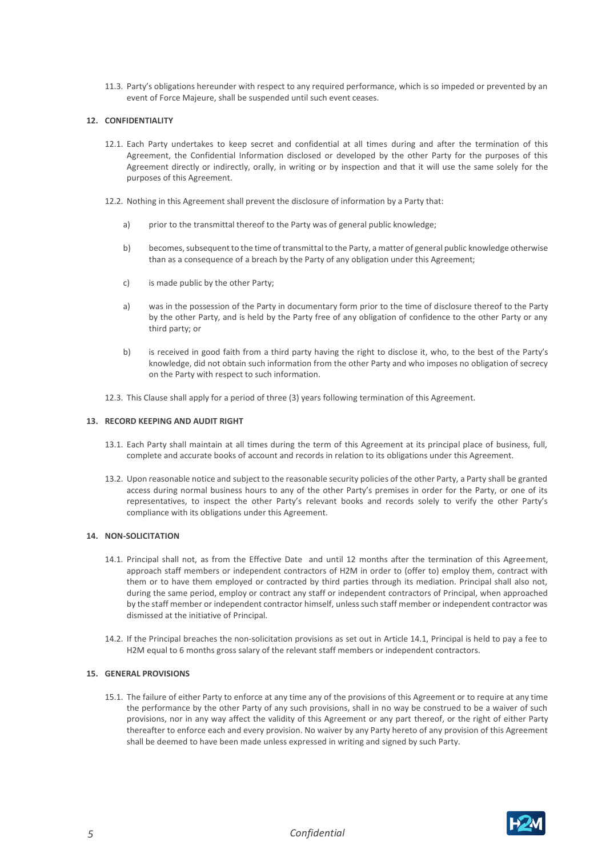11.3. Party's obligations hereunder with respect to any required performance, which is so impeded or prevented by an event of Force Majeure, shall be suspended until such event ceases.

# **12. CONFIDENTIALITY**

- 12.1. Each Party undertakes to keep secret and confidential at all times during and after the termination of this Agreement, the Confidential Information disclosed or developed by the other Party for the purposes of this Agreement directly or indirectly, orally, in writing or by inspection and that it will use the same solely for the purposes of this Agreement.
- 12.2. Nothing in this Agreement shall prevent the disclosure of information by a Party that:
	- a) prior to the transmittal thereof to the Party was of general public knowledge;
	- b) becomes, subsequent to the time of transmittal to the Party, a matter of general public knowledge otherwise than as a consequence of a breach by the Party of any obligation under this Agreement;
	- c) is made public by the other Party;
	- a) was in the possession of the Party in documentary form prior to the time of disclosure thereof to the Party by the other Party, and is held by the Party free of any obligation of confidence to the other Party or any third party; or
	- b) is received in good faith from a third party having the right to disclose it, who, to the best of the Party's knowledge, did not obtain such information from the other Party and who imposes no obligation of secrecy on the Party with respect to such information.
- 12.3. This Clause shall apply for a period of three (3) years following termination of this Agreement.

#### **13. RECORD KEEPING AND AUDIT RIGHT**

- 13.1. Each Party shall maintain at all times during the term of this Agreement at its principal place of business, full, complete and accurate books of account and records in relation to its obligations under this Agreement.
- 13.2. Upon reasonable notice and subject to the reasonable security policies of the other Party, a Party shall be granted access during normal business hours to any of the other Party's premises in order for the Party, or one of its representatives, to inspect the other Party's relevant books and records solely to verify the other Party's compliance with its obligations under this Agreement.

## **14. NON-SOLICITATION**

- 14.1. Principal shall not, as from the Effective Date and until 12 months after the termination of this Agreement, approach staff members or independent contractors of H2M in order to (offer to) employ them, contract with them or to have them employed or contracted by third parties through its mediation. Principal shall also not, during the same period, employ or contract any staff or independent contractors of Principal, when approached by the staff member or independent contractor himself, unless such staff member or independent contractor was dismissed at the initiative of Principal.
- 14.2. If the Principal breaches the non-solicitation provisions as set out in Article 14.1, Principal is held to pay a fee to H2M equal to 6 months gross salary of the relevant staff members or independent contractors.

#### **15. GENERAL PROVISIONS**

15.1. The failure of either Party to enforce at any time any of the provisions of this Agreement or to require at any time the performance by the other Party of any such provisions, shall in no way be construed to be a waiver of such provisions, nor in any way affect the validity of this Agreement or any part thereof, or the right of either Party thereafter to enforce each and every provision. No waiver by any Party hereto of any provision of this Agreement shall be deemed to have been made unless expressed in writing and signed by such Party.